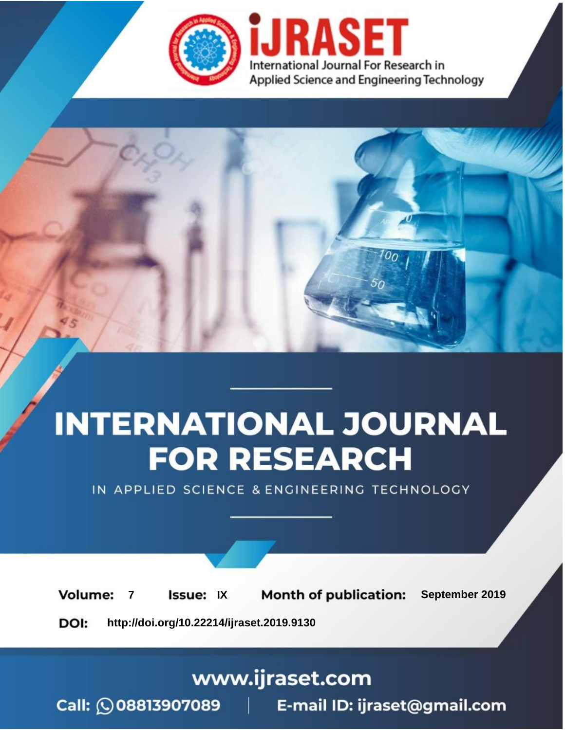

# **INTERNATIONAL JOURNAL FOR RESEARCH**

IN APPLIED SCIENCE & ENGINEERING TECHNOLOGY

**Month of publication: Volume: Issue: IX** September 2019  $\overline{7}$ DOI: http://doi.org/10.22214/ijraset.2019.9130

www.ijraset.com

 $Call: \bigcirc$ 08813907089 E-mail ID: ijraset@gmail.com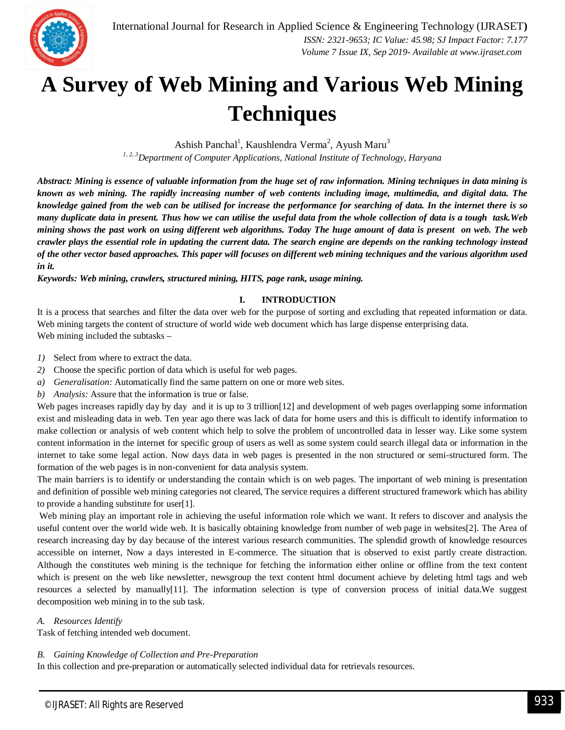

### **A Survey of Web Mining and Various Web Mining Techniques**

Ashish Panchal<sup>1</sup>, Kaushlendra Verma<sup>2</sup>, Ayush Maru<sup>3</sup> *1, 2, 3Department of Computer Applications, National Institute of Technology, Haryana*

*Abstract: Mining is essence of valuable information from the huge set of raw information. Mining techniques in data mining is known as web mining. The rapidly increasing number of web contents including image, multimedia, and digital data. The knowledge gained from the web can be utilised for increase the performance for searching of data. In the internet there is so many duplicate data in present. Thus how we can utilise the useful data from the whole collection of data is a tough task.Web mining shows the past work on using different web algorithms. Today The huge amount of data is present on web. The web crawler plays the essential role in updating the current data. The search engine are depends on the ranking technology instead of the other vector based approaches. This paper will focuses on different web mining techniques and the various algorithm used in it.* 

*Keywords: Web mining, crawlers, structured mining, HITS, page rank, usage mining.*

#### **I. INTRODUCTION**

It is a process that searches and filter the data over web for the purpose of sorting and excluding that repeated information or data. Web mining targets the content of structure of world wide web document which has large dispense enterprising data. Web mining included the subtasks –

- *1)* Select from where to extract the data.
- *2)* Choose the specific portion of data which is useful for web pages.
- *a) Generalisation:* Automatically find the same pattern on one or more web sites.
- *b) Analysis:* Assure that the information is true or false.

Web pages increases rapidly day by day and it is up to 3 trillion[12] and development of web pages overlapping some information exist and misleading data in web. Ten year ago there was lack of data for home users and this is difficult to identify information to make collection or analysis of web content which help to solve the problem of uncontrolled data in lesser way. Like some system content information in the internet for specific group of users as well as some system could search illegal data or information in the internet to take some legal action. Now days data in web pages is presented in the non structured or semi-structured form. The formation of the web pages is in non-convenient for data analysis system.

The main barriers is to identify or understanding the contain which is on web pages. The important of web mining is presentation and definition of possible web mining categories not cleared, The service requires a different structured framework which has ability to provide a handing substitute for user[1].

Web mining play an important role in achieving the useful information role which we want. It refers to discover and analysis the useful content over the world wide web. It is basically obtaining knowledge from number of web page in websites[2]. The Area of research increasing day by day because of the interest various research communities. The splendid growth of knowledge resources accessible on internet, Now a days interested in E-commerce. The situation that is observed to exist partly create distraction. Although the constitutes web mining is the technique for fetching the information either online or offline from the text content which is present on the web like newsletter, newsgroup the text content html document achieve by deleting html tags and web resources a selected by manually[11]. The information selection is type of conversion process of initial data.We suggest decomposition web mining in to the sub task.

#### *A. Resources Identify*

Task of fetching intended web document.

#### *B. Gaining Knowledge of Collection and Pre-Preparation*

In this collection and pre-preparation or automatically selected individual data for retrievals resources.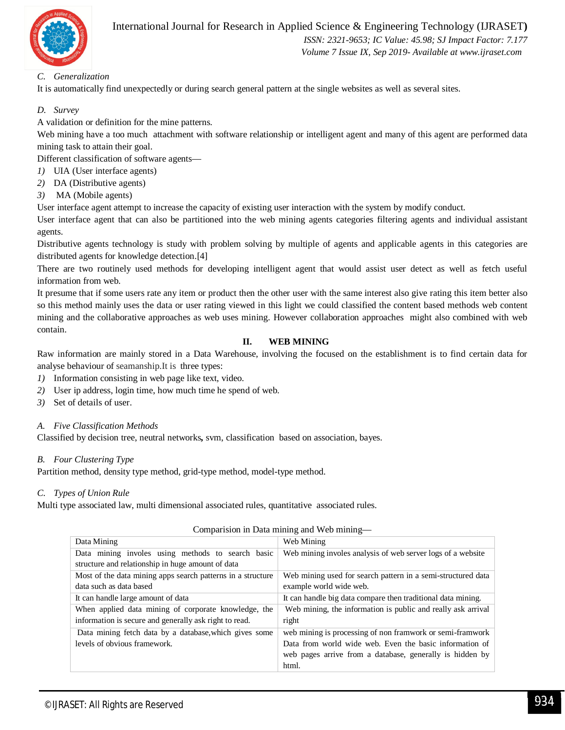

 *ISSN: 2321-9653; IC Value: 45.98; SJ Impact Factor: 7.177 Volume 7 Issue IX, Sep 2019- Available at www.ijraset.com*

#### *C. Generalization*

It is automatically find unexpectedly or during search general pattern at the single websites as well as several sites.

#### *D. Survey*

A validation or definition for the mine patterns.

Web mining have a too much attachment with software relationship or intelligent agent and many of this agent are performed data mining task to attain their goal.

Different classification of software agents—

- *1)* UIA (User interface agents)
- *2)* DA (Distributive agents)
- *3)* MA (Mobile agents)

User interface agent attempt to increase the capacity of existing user interaction with the system by modify conduct.

User interface agent that can also be partitioned into the web mining agents categories filtering agents and individual assistant agents.

Distributive agents technology is study with problem solving by multiple of agents and applicable agents in this categories are distributed agents for knowledge detection.[4]

There are two routinely used methods for developing intelligent agent that would assist user detect as well as fetch useful information from web.

It presume that if some users rate any item or product then the other user with the same interest also give rating this item better also so this method mainly uses the data or user rating viewed in this light we could classified the content based methods web content mining and the collaborative approaches as web uses mining. However collaboration approaches might also combined with web contain.

#### **II. WEB MINING**

Raw information are mainly stored in a Data Warehouse, involving the focused on the establishment is to find certain data for analyse behaviour of seamanship.It is three types:

- *1)* Information consisting in web page like text, video.
- *2)* User ip address, login time, how much time he spend of web.
- *3)* Set of details of user.

#### *A. Five Classification Methods*

Classified by decision tree, neutral networks*,* svm, classification based on association, bayes.

#### *B. Four Clustering Type*

Partition method, density type method, grid-type method, model-type method.

#### *C. Types of Union Rule*

Multi type associated law, multi dimensional associated rules, quantitative associated rules.

| Data Mining                                                 | Web Mining                                                   |  |  |  |
|-------------------------------------------------------------|--------------------------------------------------------------|--|--|--|
| Data mining involes using methods to search basic           | Web mining involes analysis of web server logs of a website  |  |  |  |
| structure and relationship in huge amount of data           |                                                              |  |  |  |
| Most of the data mining apps search patterns in a structure | Web mining used for search pattern in a semi-structured data |  |  |  |
| data such as data based                                     | example world wide web.                                      |  |  |  |
| It can handle large amount of data                          | It can handle big data compare then traditional data mining. |  |  |  |
| When applied data mining of corporate knowledge, the        | Web mining, the information is public and really ask arrival |  |  |  |
| information is secure and generally ask right to read.      | right                                                        |  |  |  |
| Data mining fetch data by a database, which gives some      | web mining is processing of non framwork or semi-framwork    |  |  |  |
| levels of obvious framework.                                | Data from world wide web. Even the basic information of      |  |  |  |
|                                                             | web pages arrive from a database, generally is hidden by     |  |  |  |
|                                                             | html.                                                        |  |  |  |

#### Comparision in Data mining and Web mining—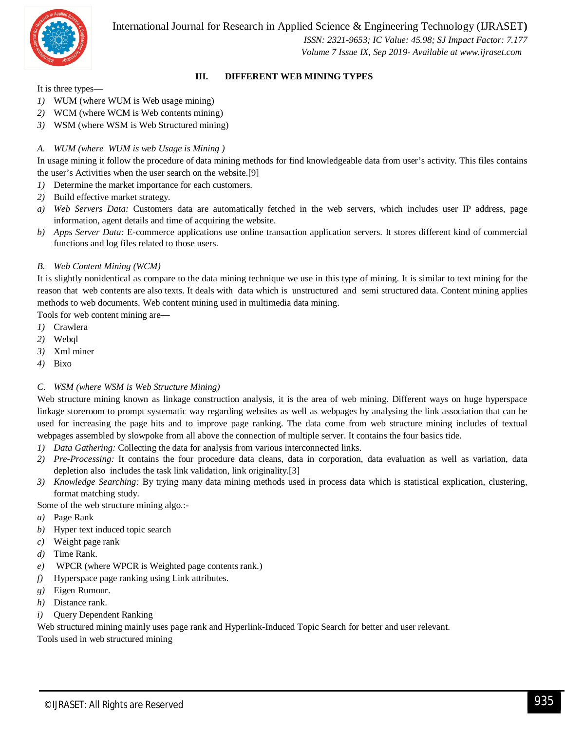

 *ISSN: 2321-9653; IC Value: 45.98; SJ Impact Factor: 7.177 Volume 7 Issue IX, Sep 2019- Available at www.ijraset.com*

#### **III. DIFFERENT WEB MINING TYPES**

It is three types—

- *1)* WUM (where WUM is Web usage mining)
- *2)* WCM (where WCM is Web contents mining)
- *3)* WSM (where WSM is Web Structured mining)

#### *A. WUM (where WUM is web Usage is Mining )*

In usage mining it follow the procedure of data mining methods for find knowledgeable data from user's activity. This files contains the user's Activities when the user search on the website.[9]

- *1)* Determine the market importance for each customers.
- *2)* Build effective market strategy.
- *a) Web Servers Data:* Customers data are automatically fetched in the web servers, which includes user IP address, page information, agent details and time of acquiring the website.
- *b) Apps Server Data:* E-commerce applications use online transaction application servers. It stores different kind of commercial functions and log files related to those users.

#### *B. Web Content Mining (WCM)*

It is slightly nonidentical as compare to the data mining technique we use in this type of mining. It is similar to text mining for the reason that web contents are also texts. It deals with data which is unstructured and semi structured data. Content mining applies methods to web documents. Web content mining used in multimedia data mining.

Tools for web content mining are—

- *1)* Crawlera
- *2)* Webql
- *3)* Xml miner
- *4)* Bixo

#### *C. WSM (where WSM is Web Structure Mining)*

Web structure mining known as linkage construction analysis, it is the area of web mining. Different ways on huge hyperspace linkage storeroom to prompt systematic way regarding websites as well as webpages by analysing the link association that can be used for increasing the page hits and to improve page ranking. The data come from web structure mining includes of textual webpages assembled by slowpoke from all above the connection of multiple server. It contains the four basics tide.

- *1) Data Gathering:* Collecting the data for analysis from various interconnected links.
- *2) Pre-Processing:* It contains the four procedure data cleans, data in corporation, data evaluation as well as variation, data depletion also includes the task link validation, link originality.[3]
- *3) Knowledge Searching:* By trying many data mining methods used in process data which is statistical explication, clustering, format matching study.

Some of the web structure mining algo.:-

- *a)* Page Rank
- *b)* Hyper text induced topic search
- *c)* Weight page rank
- *d)* Time Rank.
- *e)* WPCR (where WPCR is Weighted page contents rank.)
- *f)* Hyperspace page ranking using Link attributes.
- *g)* Eigen Rumour.
- *h)* Distance rank.
- *i)* Query Dependent Ranking

Web structured mining mainly uses page rank and Hyperlink-Induced Topic Search for better and user relevant. Tools used in web structured mining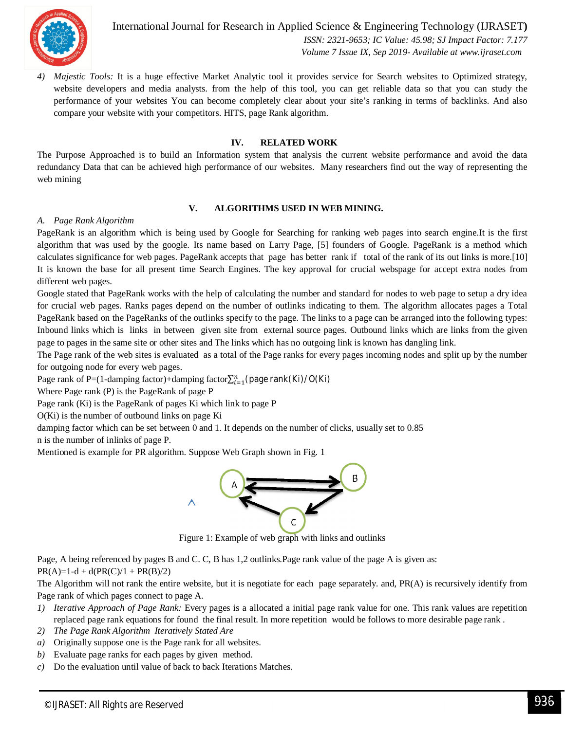

International Journal for Research in Applied Science & Engineering Technology (IJRASET**)**  *ISSN: 2321-9653; IC Value: 45.98; SJ Impact Factor: 7.177 Volume 7 Issue IX, Sep 2019- Available at www.ijraset.com*

*4) Majestic Tools:* It is a huge effective Market Analytic tool it provides service for Search websites to Optimized strategy, website developers and media analysts. from the help of this tool, you can get reliable data so that you can study the performance of your websites You can become completely clear about your site's ranking in terms of backlinks. And also compare your website with your competitors. HITS, page Rank algorithm.

#### **IV. RELATED WORK**

The Purpose Approached is to build an Information system that analysis the current website performance and avoid the data redundancy Data that can be achieved high performance of our websites. Many researchers find out the way of representing the web mining

#### **V. ALGORITHMS USED IN WEB MINING.**

#### *A. Page Rank Algorithm*

PageRank is an algorithm which is being used by Google for Searching for ranking web pages into search engine.It is the first algorithm that was used by the google. Its name based on Larry Page, [5] founders of Google. PageRank is a method which calculates significance for web pages. PageRank accepts that page has better rank if total of the rank of its out links is more.[10] It is known the base for all present time Search Engines. The key approval for crucial webspage for accept extra nodes from different web pages.

Google stated that PageRank works with the help of calculating the number and standard for nodes to web page to setup a dry idea for crucial web pages. Ranks pages depend on the number of outlinks indicating to them. The algorithm allocates pages a Total PageRank based on the PageRanks of the outlinks specify to the page. The links to a page can be arranged into the following types: Inbound links which is links in between given site from external source pages. Outbound links which are links from the given page to pages in the same site or other sites and The links which has no outgoing link is known has dangling link.

The Page rank of the web sites is evaluated as a total of the Page ranks for every pages incoming nodes and split up by the number for outgoing node for every web pages.

Page rank of P=(1-damping factor)+damping factor $\sum_{i=1}^{n}$ (page rank(Ki)/O(Ki)

Where Page rank (P) is the PageRank of page P

Page rank (Ki) is the PageRank of pages Ki which link to page P

O(Ki) is the number of outbound links on page Ki

damping factor which can be set between 0 and 1. It depends on the number of clicks, usually set to 0.85 n is the number of inlinks of page P.

Mentioned is example for PR algorithm. Suppose Web Graph shown in Fig. 1



Figure 1: Example of web graph with links and outlinks

Page, A being referenced by pages B and C. C, B has 1,2 outlinks.Page rank value of the page A is given as:  $PR(A)=1-d + d(PR(C)/1 + PR(B)/2)$ 

The Algorithm will not rank the entire website, but it is negotiate for each page separately. and, PR(A) is recursively identify from Page rank of which pages connect to page A.

- *1) Iterative Approach of Page Rank:* Every pages is a allocated a initial page rank value for one. This rank values are repetition replaced page rank equations for found the final result. In more repetition would be follows to more desirable page rank .
- *2) The Page Rank Algorithm Iteratively Stated Are*
- *a)* Originally suppose one is the Page rank for all websites.
- *b)* Evaluate page ranks for each pages by given method.
- *c)* Do the evaluation until value of back to back Iterations Matches.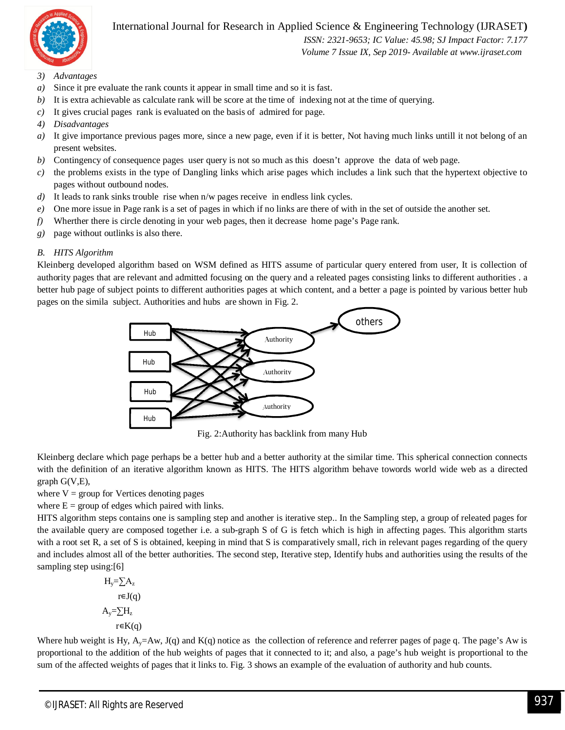

 *ISSN: 2321-9653; IC Value: 45.98; SJ Impact Factor: 7.177 Volume 7 Issue IX, Sep 2019- Available at www.ijraset.com*

- *3) Advantages*
- *a)* Since it pre evaluate the rank counts it appear in small time and so it is fast.
- *b*) It is extra achievable as calculate rank will be score at the time of indexing not at the time of querying.
- *c)* It gives crucial pages rank is evaluated on the basis of admired for page.
- *4) Disadvantages*
- *a*) It give importance previous pages more, since a new page, even if it is better, Not having much links untill it not belong of an present websites.
- *b)* Contingency of consequence pages user query is not so much as this doesn't approve the data of web page.
- *c)* the problems exists in the type of Dangling links which arise pages which includes a link such that the hypertext objective to pages without outbound nodes.
- *d*) It leads to rank sinks trouble rise when n/w pages receive in endless link cycles.
- *e)* One more issue in Page rank is a set of pages in which if no links are there of with in the set of outside the another set.
- *f)* Wherther there is circle denoting in your web pages, then it decrease home page's Page rank.
- *g)* page without outlinks is also there.

#### *B. HITS Algorithm*

Kleinberg developed algorithm based on WSM defined as HITS assume of particular query entered from user, It is collection of authority pages that are relevant and admitted focusing on the query and a releated pages consisting links to different authorities . a better hub page of subject points to different authorities pages at which content, and a better a page is pointed by various better hub pages on the simila subject. Authorities and hubs are shown in Fig. 2.



Fig. 2:Authority has backlink from many Hub

Kleinberg declare which page perhaps be a better hub and a better authority at the similar time. This spherical connection connects with the definition of an iterative algorithm known as HITS. The HITS algorithm behave towords world wide web as a directed graph G(V,E),

where  $V =$  group for Vertices denoting pages

where  $E =$  group of edges which paired with links.

HITS algorithm steps contains one is sampling step and another is iterative step.. In the Sampling step, a group of releated pages for the available query are composed together i.e. a sub-graph S of G is fetch which is high in affecting pages. This algorithm starts with a root set R, a set of S is obtained, keeping in mind that S is comparatively small, rich in relevant pages regarding of the query and includes almost all of the better authorities. The second step, Iterative step, Identify hubs and authorities using the results of the sampling step using:[6]

$$
H_{y} = \sum A_{z}
$$
  
\n
$$
r \in J(q)
$$
  
\n
$$
A_{y} = \sum H_{z}
$$
  
\n
$$
r \in K(q)
$$

Where hub weight is Hy,  $A_y = Aw$ , J(q) and K(q) notice as the collection of reference and referrer pages of page q. The page's Aw is proportional to the addition of the hub weights of pages that it connected to it; and also, a page's hub weight is proportional to the sum of the affected weights of pages that it links to. Fig. 3 shows an example of the evaluation of authority and hub counts.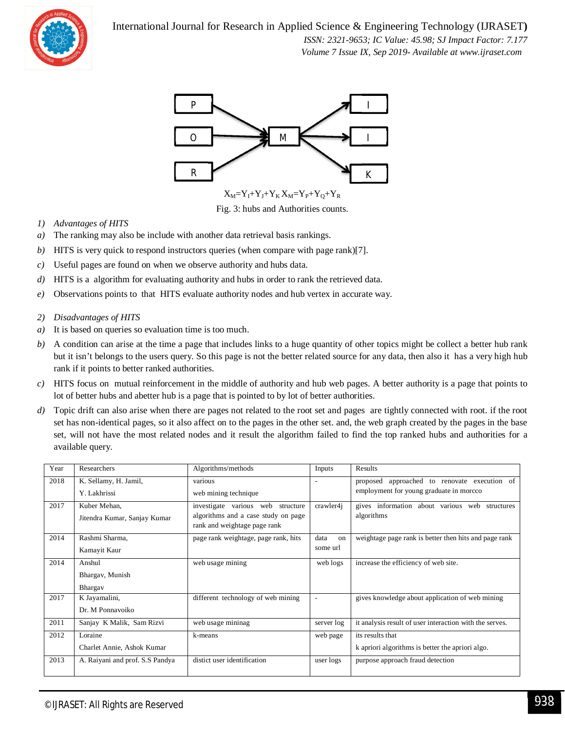

 *ISSN: 2321-9653; IC Value: 45.98; SJ Impact Factor: 7.177 Volume 7 Issue IX, Sep 2019- Available at www.ijraset.com*



Fig. 3: hubs and Authorities counts.

- *1) Advantages of HITS*
- *a)* The ranking may also be include with another data retrieval basis rankings.
- *b)* HITS is very quick to respond instructors queries (when compare with page rank)[7].
- *c)* Useful pages are found on when we observe authority and hubs data.
- *d)* HITS is a algorithm for evaluating authority and hubs in order to rank the retrieved data.
- *e)* Observations points to that HITS evaluate authority nodes and hub vertex in accurate way.
- *2) Disadvantages of HITS*
- *a)* It is based on queries so evaluation time is too much.
- *b*) A condition can arise at the time a page that includes links to a huge quantity of other topics might be collect a better hub rank but it isn't belongs to the users query. So this page is not the better related source for any data, then also it has a very high hub rank if it points to better ranked authorities.
- *c)* HITS focus on mutual reinforcement in the middle of authority and hub web pages. A better authority is a page that points to lot of better hubs and abetter hub is a page that is pointed to by lot of better authorities.
- *d*) Topic drift can also arise when there are pages not related to the root set and pages are tightly connected with root. if the root set has non-identical pages, so it also affect on to the pages in the other set. and, the web graph created by the pages in the base set, will not have the most related nodes and it result the algorithm failed to find the top ranked hubs and authorities for a available query.

| Year | Researchers                     | Algorithms/methods                   | Inputs     | Results                                                 |
|------|---------------------------------|--------------------------------------|------------|---------------------------------------------------------|
| 2018 | K. Sellamy, H. Jamil,           | various                              |            | approached to renovate execution of<br>proposed         |
|      | Y. Lakhrissi                    | web mining technique                 |            | employment for young graduate in morcco                 |
| 2017 | Kuber Mehan,                    | investigate various web<br>structure | crawler4i  | gives information about various web structures          |
|      | Jitendra Kumar, Sanjay Kumar    | algorithms and a case study on page  |            | algorithms                                              |
|      |                                 | rank and weightage page rank         |            |                                                         |
| 2014 | Rashmi Sharma,                  | page rank weightage, page rank, hits | data<br>on | weightage page rank is better then hits and page rank   |
|      | Kamayit Kaur                    |                                      | some url   |                                                         |
| 2014 | Anshul                          | web usage mining                     | web logs   | increase the efficiency of web site.                    |
|      | Bhargav, Munish                 |                                      |            |                                                         |
|      | Bhargav                         |                                      |            |                                                         |
| 2017 | K Jayamalini,                   | different technology of web mining   |            | gives knowledge about application of web mining         |
|      | Dr. M Ponnavoiko                |                                      |            |                                                         |
| 2011 | Sanjay K Malik, Sam Rizvi       | web usage mininag                    | server log | it analysis result of user interaction with the serves. |
| 2012 | Loraine                         | k-means                              | web page   | its results that                                        |
|      | Charlet Annie, Ashok Kumar      |                                      |            | k apriori algorithms is better the apriori algo.        |
| 2013 | A. Raiyani and prof. S.S Pandya | distict user identification          | user logs  | purpose approach fraud detection                        |
|      |                                 |                                      |            |                                                         |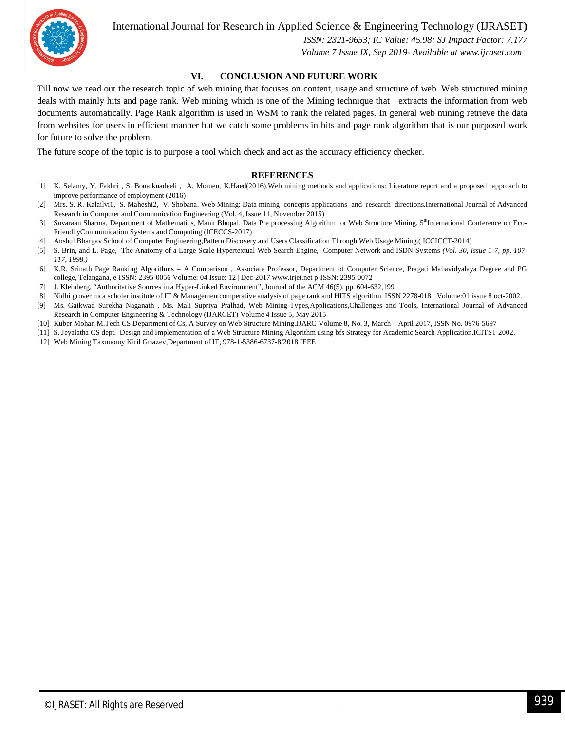

 *ISSN: 2321-9653; IC Value: 45.98; SJ Impact Factor: 7.177 Volume 7 Issue IX, Sep 2019- Available at www.ijraset.com*

#### **VI. CONCLUSION AND FUTURE WORK**

Till now we read out the research topic of web mining that focuses on content, usage and structure of web. Web structured mining deals with mainly hits and page rank. Web mining which is one of the Mining technique that extracts the information from web documents automatically. Page Rank algorithm is used in WSM to rank the related pages. In general web mining retrieve the data from websites for users in efficient manner but we catch some problems in hits and page rank algorithm that is our purposed work for future to solve the problem.

The future scope of the topic is to purpose a tool which check and act as the accuracy efficiency checker.

#### **REFERENCES**

- [1] K. Selamy, Y. Fakhri , S. Boualknadeeli , A. Momen, K.Haed(2016).Web mining methods and applications: Literature report and a proposed approach to improve performance of employment (2016)
- [2] Mrs. S. R. Kalailvi1, S. Maheshi2, V. Shobana. Web Mining: Data mining concepts applications and research directions.International Journal of Advanced Research in Computer and Communication Engineering (Vol. 4, Issue 11, November 2015)
- [3] Suvaraan Sharma, Department of Mathematics, Manit Bhopal. Data Pre processing Algorithm for Web Structure Mining. 5<sup>th</sup>International Conference on Eco-Friendl yCommunication Systems and Computing (ICECCS-2017)
- [4] Anshul Bhargav School of Computer Engineering,Pattern Discovery and Users Classification Through Web Usage Mining.( ICCICCT-2014)
- [5] S. Brin, and L. Page, The Anatomy of a Large Scale Hypertextual Web Search Engine, Computer Network and ISDN Systems *(Vol. 30, Issue 1-7, pp. 107- 117, 1998.)*
- [6] K.R. Srinath Page Ranking Algorithms A Comparison , Associate Professor, Department of Computer Science, Pragati Mahavidyalaya Degree and PG college, Telangana, e-ISSN: 2395-0056 Volume: 04 Issue: 12 | Dec-2017 www.irjet.net p-ISSN: 2395-0072
- [7] J. Kleinberg, "Authoritative Sources in a Hyper-Linked Environment", Journal of the ACM 46(5), pp. 604-632,199
- [8] Nidhi grover mca scholer institute of IT & Managementcomperative analysis of page rank and HITS algorithm. ISSN 2278-0181 Volume:01 issue 8 oct-2002.
- [9] Ms. Gaikwad Surekha Naganath , Ms. Mali Supriya Pralhad, Web Mining-Types,Applications,Challenges and Tools, International Journal of Advanced Research in Computer Engineering & Technology (IJARCET) Volume 4 Issue 5, May 2015
- [10] Kuber Mohan M.Tech CS Department of Cs, A Survey on Web Structure Mining.IJARC Volume 8, No. 3, March April 2017, ISSN No. 0976-5697
- [11] S. Jeyalatha CS dept. Design and Implementation of a Web Structure Mining Algorithm using bfs Strategy for Academic Search Application.ICITST 2002.
- [12] Web Mining Taxonomy Kiril Griazev,Department of IT, 978-1-5386-6737-8/2018 IEEE